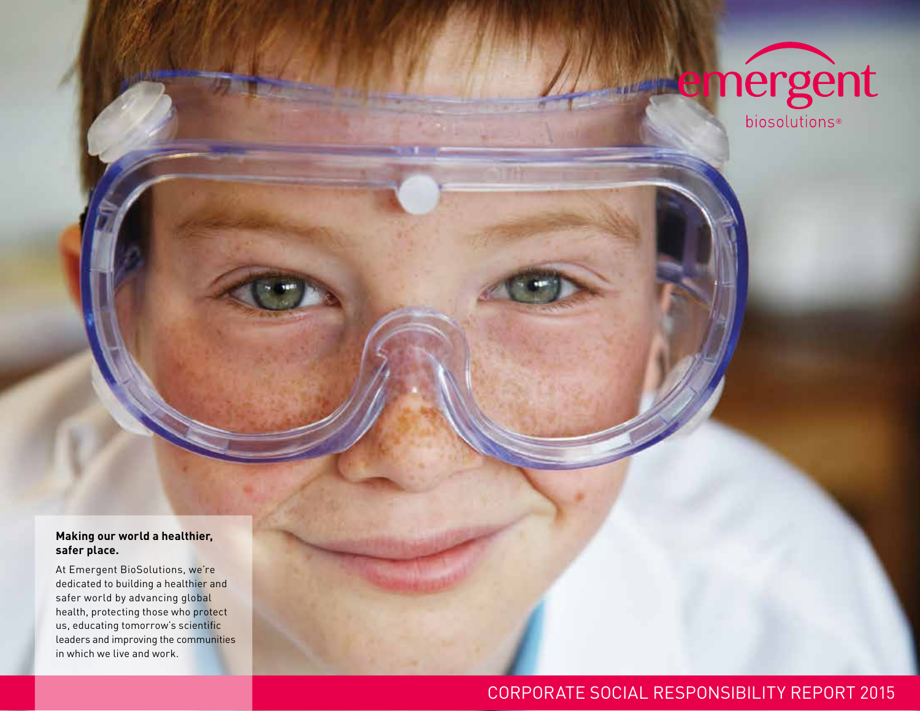

#### **Making our world a healthier, safer place.**

At Emergent BioSolutions, we're dedicated to building a healthier and safer world by advancing global health, protecting those who protect us, educating tomorrow's scientific leaders and improving the communities in which we live and work.

### CORPORATE SOCIAL RESPONSIBILITY REPORT 2015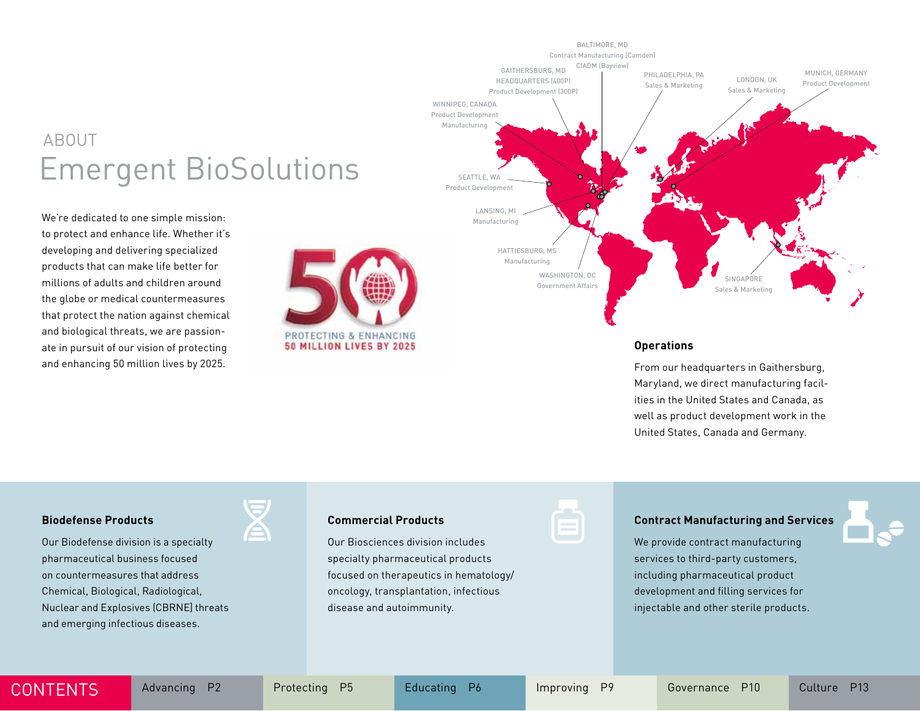## ABOUT Emergent BioSolutions

We're dedicated to one simple mission: to protect and enhance life. Whether it's developing and delivering specialized products that can make life better for millions of adults and children around the globe or medical countermeasures that protect the nation against chemical and biological threats, we are passionate in pursuit of our vision of protecting and enhancing 50 million lives by 2025.





#### **Operations**

From our headquarters in Gaithersburg, Maryland, we direct manufacturing facilities in the United States and Canada, as well as product development work in the United States, Canada and Germany.

#### **Biodefense Products**

Our Biodefense division is a specialty pharmaceutical business focused on countermeasures that address Chemical, Biological, Radiological, Nuclear and Explosives (CBRNE] threats and emerging infectious diseases.



#### **Commercial Products**

Our Biosciences division includes specialty pharmaceutical products focused on therapeutics in hematology/ oncology, transplantation, infectious disease and autoimmunity.

#### **Contract Manufacturing and Services**

We provide contract manufacturing services to third-party customers, including pharmaceutical product development and filling services for injectable and other sterile products.



CONTENTS Advancing P2 Protecting P5 Educating P6 Improving P9 Governance P10 Culture P13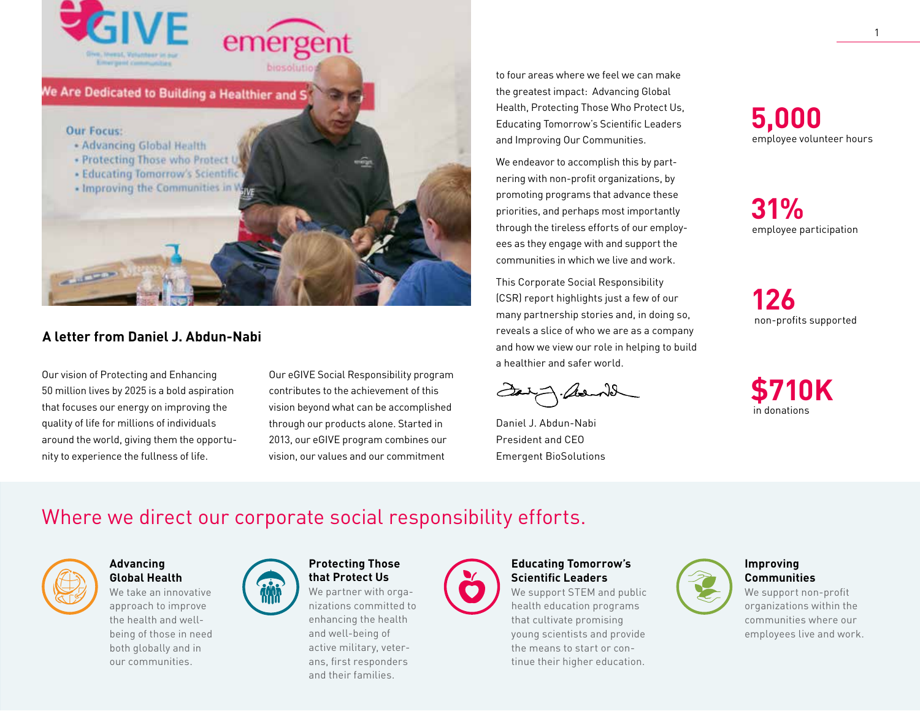

#### **A letter from Daniel J. Abdun-Nabi**

Our vision of Protecting and Enhancing 50 million lives by 2025 is a bold aspiration that focuses our energy on improving the quality of life for millions of individuals around the world, giving them the opportunity to experience the fullness of life.

Our eGIVE Social Responsibility program contributes to the achievement of this vision beyond what can be accomplished through our products alone. Started in 2013, our eGIVE program combines our vision, our values and our commitment

to four areas where we feel we can make the greatest impact: Advancing Global Health, Protecting Those Who Protect Us, Educating Tomorrow's Scientific Leaders and Improving Our Communities.

We endeavor to accomplish this by partnering with non-profit organizations, by promoting programs that advance these priorities, and perhaps most importantly through the tireless efforts of our employees as they engage with and support the communities in which we live and work.

This Corporate Social Responsibility (CSR) report highlights just a few of our many partnership stories and, in doing so, reveals a slice of who we are as a company and how we view our role in helping to build a healthier and safer world.

Daniel J. Abdun-Nabi President and CEO Emergent BioSolutions

**5,000**  employee volunteer hours

**31%** employee participation

**126** non-profits supported



## Where we direct our corporate social responsibility efforts.



#### **Advancing Global Health**

We take an innovative approach to improve the health and wellbeing of those in need both globally and in our communities.



#### **Protecting Those that Protect Us**

We partner with organizations committed to enhancing the health and well-being of active military, veterans, first responders and their families.



#### **Educating Tomorrow's Scientific Leaders**

We support STEM and public health education programs that cultivate promising young scientists and provide the means to start or continue their higher education.



#### **Improving Communities**

We support non-profit organizations within the communities where our employees live and work.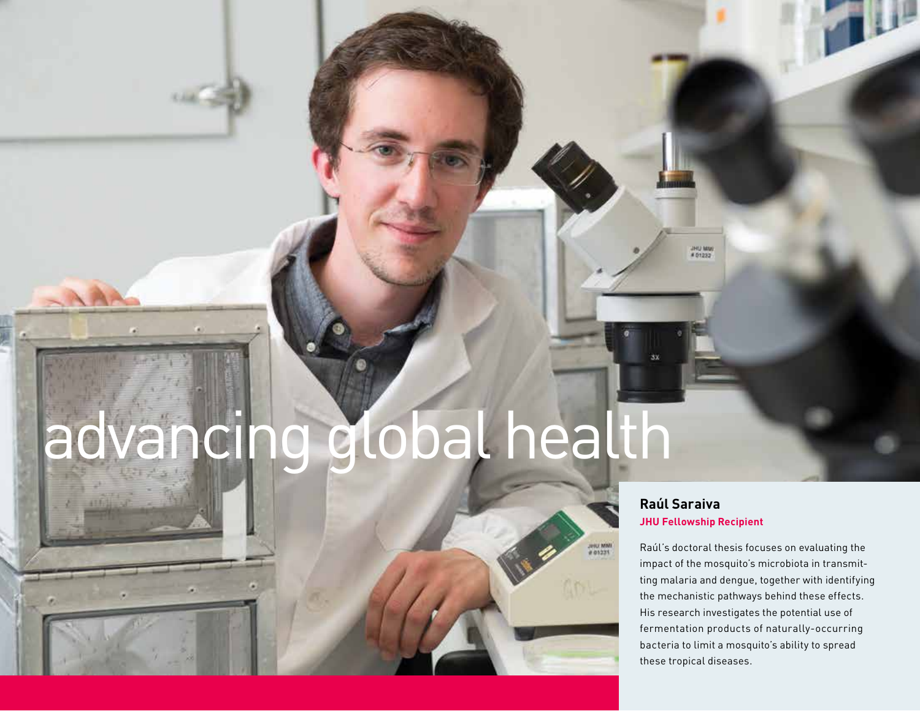# advancing global health

#### **Raúl Saraiva JHU Fellowship Recipient**

Jelu MMI

UHO MM

Raúl's doctoral thesis focuses on evaluating the impact of the mosquito's microbiota in transmitting malaria and dengue, together with identifying the mechanistic pathways behind these effects. His research investigates the potential use of fermentation products of naturally-occurring bacteria to limit a mosquito's ability to spread these tropical diseases.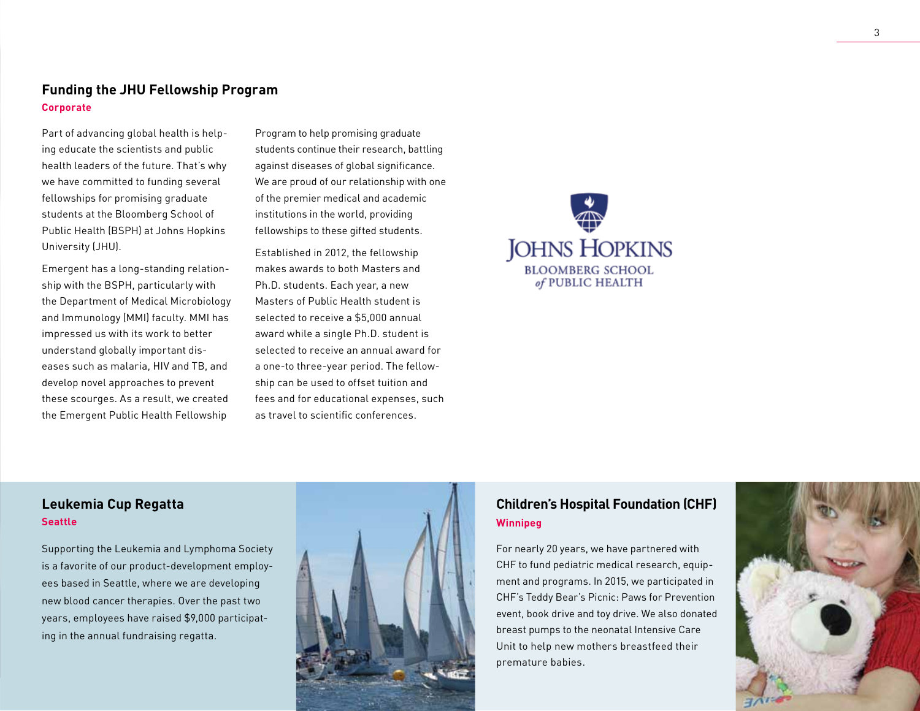#### **Funding the JHU Fellowship Program Corporate**

Part of advancing global health is helping educate the scientists and public health leaders of the future. That's why we have committed to funding several fellowships for promising graduate students at the Bloomberg School of Public Health (BSPH) at Johns Hopkins University (JHU).

Emergent has a long-standing relationship with the BSPH, particularly with the Department of Medical Microbiology and Immunology (MMI) faculty. MMI has impressed us with its work to better understand globally important diseases such as malaria, HIV and TB, and develop novel approaches to prevent these scourges. As a result, we created the Emergent Public Health Fellowship

Program to help promising graduate students continue their research, battling against diseases of global significance. We are proud of our relationship with one of the premier medical and academic institutions in the world, providing fellowships to these gifted students.

Established in 2012, the fellowship makes awards to both Masters and Ph.D. students. Each year, a new Masters of Public Health student is selected to receive a \$5,000 annual award while a single Ph.D. student is selected to receive an annual award for a one-to three-year period. The fellowship can be used to offset tuition and fees and for educational expenses, such as travel to scientific conferences.



#### **Leukemia Cup Regatta Seattle**

Supporting the Leukemia and Lymphoma Society is a favorite of our product-development employees based in Seattle, where we are developing new blood cancer therapies. Over the past two years, employees have raised \$9,000 participating in the annual fundraising regatta.



#### **Children's Hospital Foundation (CHF) Winnipeg**

For nearly 20 years, we have partnered with CHF to fund pediatric medical research, equipment and programs. In 2015, we participated in CHF's Teddy Bear's Picnic: Paws for Prevention event, book drive and toy drive. We also donated breast pumps to the neonatal Intensive Care Unit to help new mothers breastfeed their premature babies.

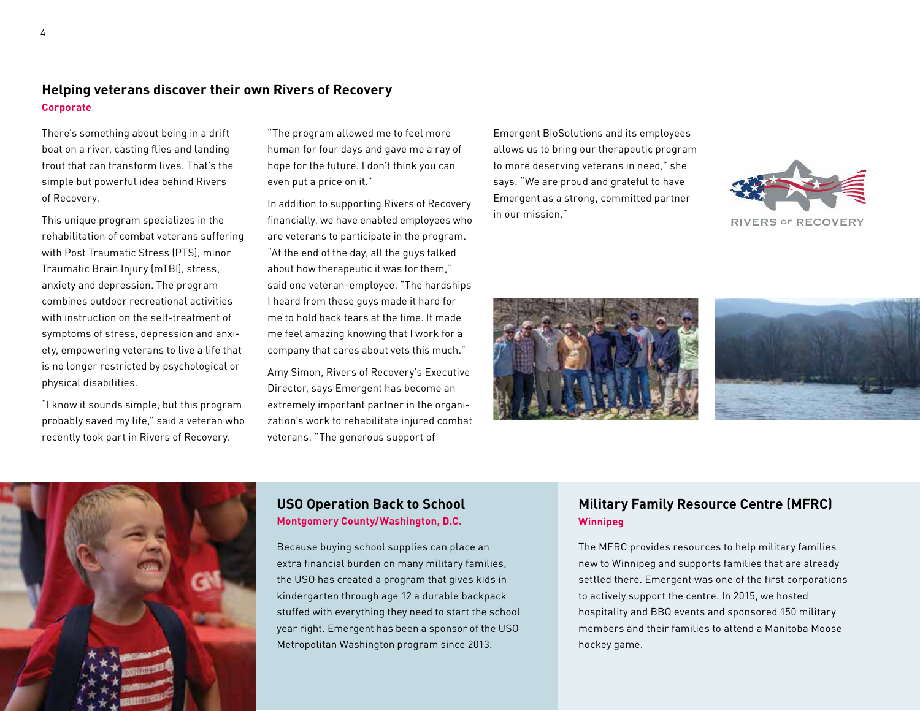There's something about being in a drift boat on a river, casting flies and landing trout that can transform lives. That's the simple but powerful idea behind Rivers of Recovery.

This unique program specializes in the rehabilitation of combat veterans suffering with Post Traumatic Stress (PTS), minor Traumatic Brain Injury (mTBI), stress, anxiety and depression. The program combines outdoor recreational activities with instruction on the self-treatment of symptoms of stress, depression and anxiety, empowering veterans to live a life that is no longer restricted by psychological or physical disabilities.

"I know it sounds simple, but this program probably saved my life," said a veteran who recently took part in Rivers of Recovery.

"The program allowed me to feel more human for four days and gave me a ray of hope for the future. I don't think you can even put a price on it."

In addition to supporting Rivers of Recovery financially, we have enabled employees who are veterans to participate in the program. "At the end of the day, all the guys talked about how therapeutic it was for them," said one veteran-employee. "The hardships I heard from these guys made it hard for me to hold back tears at the time. It made me feel amazing knowing that I work for a company that cares about vets this much."

Amy Simon, Rivers of Recovery's Executive Director, says Emergent has become an extremely important partner in the organization's work to rehabilitate injured combat veterans. "The generous support of

Emergent BioSolutions and its employees allows us to bring our therapeutic program to more deserving veterans in need," she says. "We are proud and grateful to have Emergent as a strong, committed partner in our mission."



RIVERS OF RECOVERY







#### **USO Operation Back to School Montgomery County/Washington, D.C.**

Because buying school supplies can place an extra financial burden on many military families, the USO has created a program that gives kids in kindergarten through age 12 a durable backpack stuffed with everything they need to start the school year right. Emergent has been a sponsor of the USO Metropolitan Washington program since 2013.

#### **Military Family Resource Centre (MFRC) Winnipeg**

The MFRC provides resources to help military families new to Winnipeg and supports families that are already settled there. Emergent was one of the first corporations to actively support the centre. In 2015, we hosted hospitality and BBQ events and sponsored 150 military members and their families to attend a Manitoba Moose hockey game.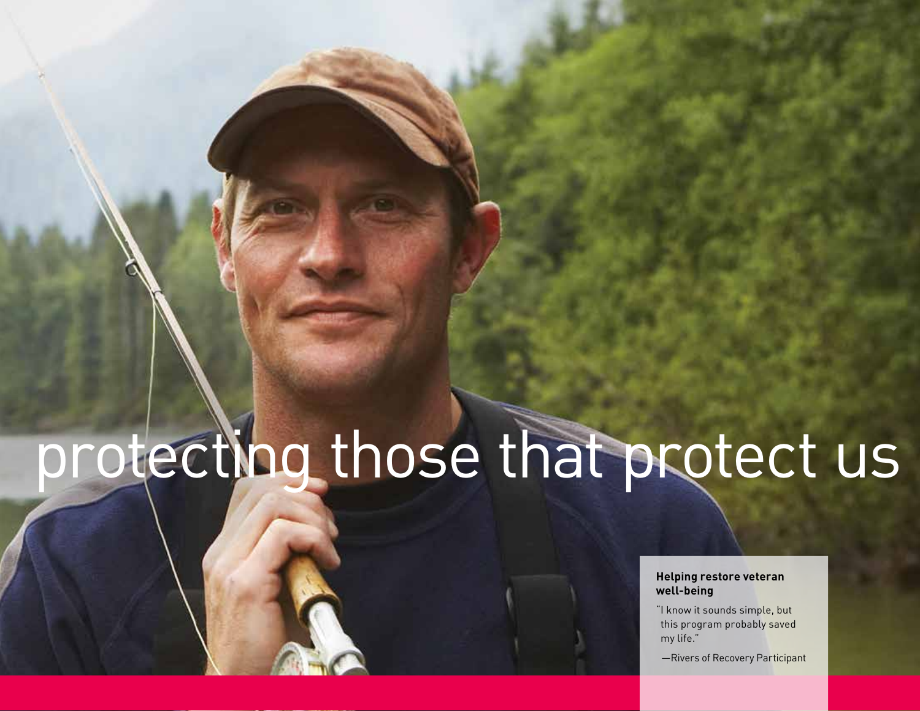# protecting those that protect us

#### **Helping restore veteran well-being**

"I know it sounds simple, but this program probably saved my life."

—Rivers of Recovery Participant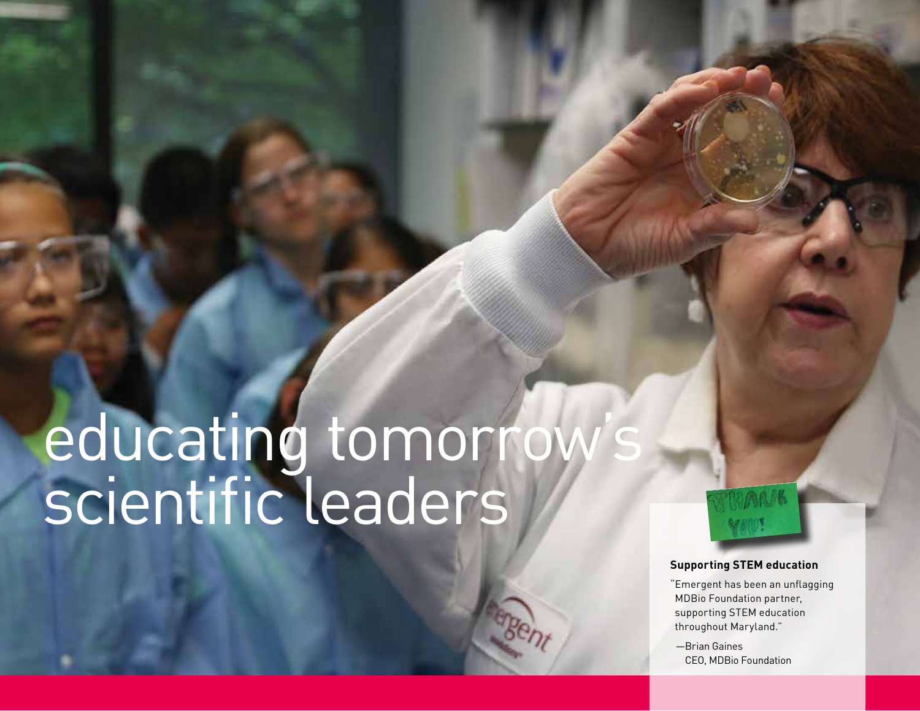# educating tomorrow's scientific leaders



#### **Supporting STEM education**

"Emergent has been an unflagging MDBio Foundation partner, supporting STEM education throughout Maryland."

—Brian Gaines CEO, MDBio Foundation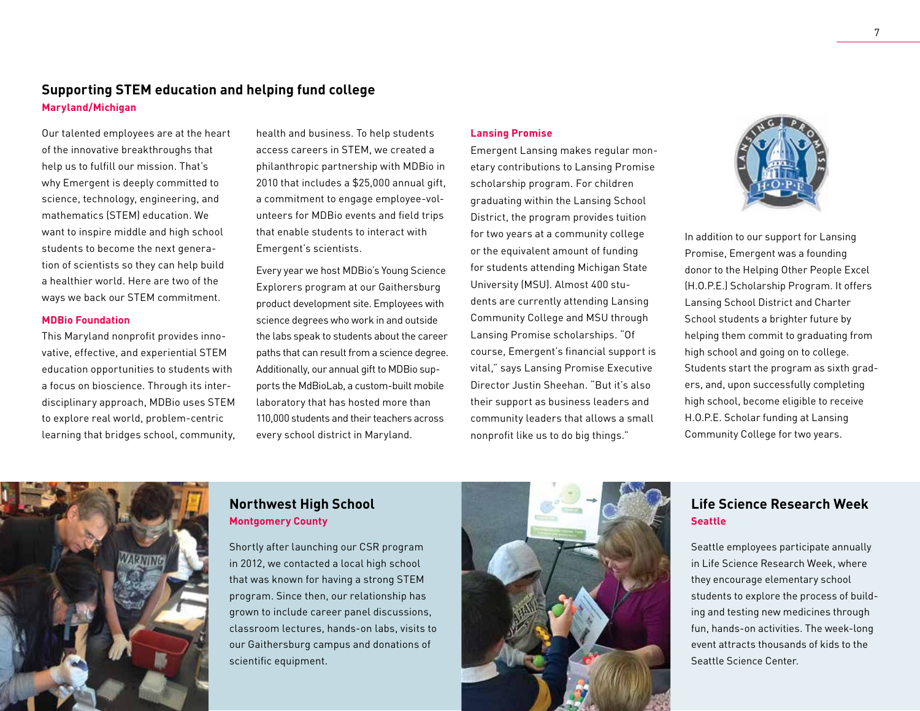#### **Supporting STEM education and helping fund college Maryland/Michigan**

Our talented employees are at the heart of the innovative breakthroughs that help us to fulfill our mission. That's why Emergent is deeply committed to science, technology, engineering, and mathematics (STEM) education. We want to inspire middle and high school students to become the next generation of scientists so they can help build a healthier world. Here are two of the ways we back our STEM commitment.

#### **MDBio Foundation**

This Maryland nonprofit provides innovative, effective, and experiential STEM education opportunities to students with a focus on bioscience. Through its interdisciplinary approach, MDBio uses STEM to explore real world, problem-centric learning that bridges school, community, health and business. To help students access careers in STEM, we created a philanthropic partnership with MDBio in 2010 that includes a \$25,000 annual gift, a commitment to engage employee-volunteers for MDBio events and field trips that enable students to interact with Emergent's scientists.

Every year we host MDBio's Young Science Explorers program at our Gaithersburg product development site. Employees with science degrees who work in and outside the labs speak to students about the career paths that can result from a science degree. Additionally, our annual gift to MDBio supports the MdBioLab, a custom-built mobile laboratory that has hosted more than 110,000 students and their teachers across every school district in Maryland.

#### **Lansing Promise**

Emergent Lansing makes regular monetary contributions to Lansing Promise scholarship program. For children graduating within the Lansing School District, the program provides tuition for two years at a community college or the equivalent amount of funding for students attending Michigan State University (MSU). Almost 400 students are currently attending Lansing Community College and MSU through Lansing Promise scholarships. "Of course, Emergent's financial support is vital," says Lansing Promise Executive Director Justin Sheehan. "But it's also their support as business leaders and community leaders that allows a small nonprofit like us to do big things."



In addition to our support for Lansing Promise, Emergent was a founding donor to the Helping Other People Excel (H.O.P.E.) Scholarship Program. It offers Lansing School District and Charter School students a brighter future by helping them commit to graduating from high school and going on to college. Students start the program as sixth graders, and, upon successfully completing high school, become eligible to receive H.O.P.E. Scholar funding at Lansing Community College for two years.



#### **Northwest High School Montgomery County**

Shortly after launching our CSR program in 2012, we contacted a local high school that was known for having a strong STEM program. Since then, our relationship has grown to include career panel discussions, classroom lectures, hands-on labs, visits to our Gaithersburg campus and donations of scientific equipment.



#### **Life Science Research Week Seattle**

Seattle employees participate annually in Life Science Research Week, where they encourage elementary school students to explore the process of building and testing new medicines through fun, hands-on activities. The week-long event attracts thousands of kids to the Seattle Science Center.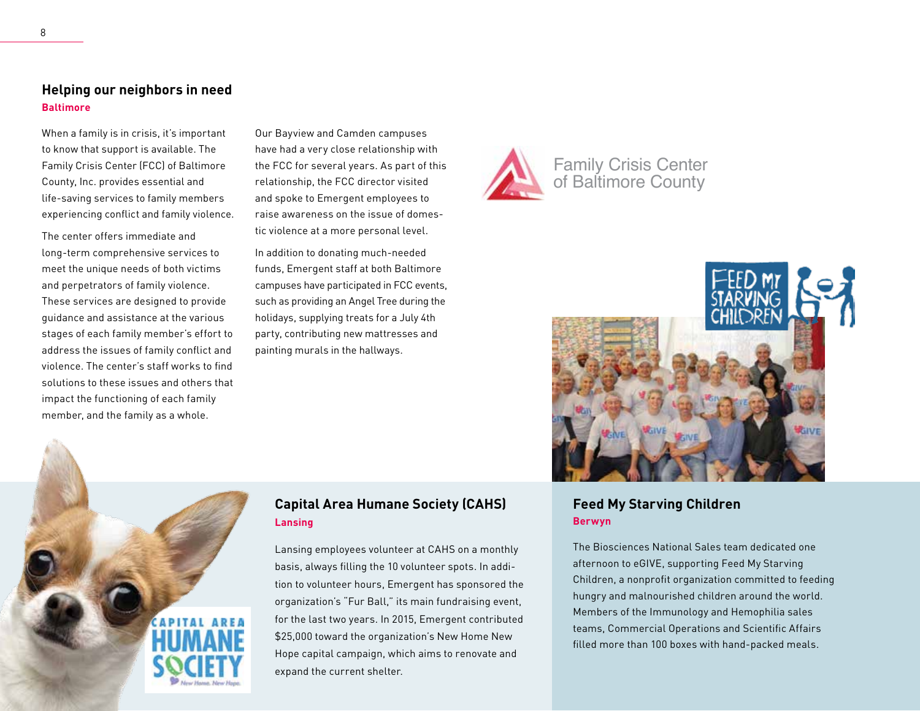#### **Helping our neighbors in need Baltimore**

When a family is in crisis, it's important to know that support is available. The Family Crisis Center (FCC) of Baltimore County, Inc. provides essential and life-saving services to family members experiencing conflict and family violence.

The center offers immediate and long-term comprehensive services to meet the unique needs of both victims and perpetrators of family violence. These services are designed to provide guidance and assistance at the various stages of each family member's effort to address the issues of family conflict and violence. The center's staff works to find solutions to these issues and others that impact the functioning of each family member, and the family as a whole.

Our Bayview and Camden campuses have had a very close relationship with the FCC for several years. As part of this relationship, the FCC director visited and spoke to Emergent employees to raise awareness on the issue of domestic violence at a more personal level.

In addition to donating much-needed funds, Emergent staff at both Baltimore campuses have participated in FCC events, such as providing an Angel Tree during the holidays, supplying treats for a July 4th party, contributing new mattresses and painting murals in the hallways.

#### **Capital Area Humane Society (CAHS) Lansing**

Lansing employees volunteer at CAHS on a monthly basis, always filling the 10 volunteer spots. In addition to volunteer hours, Emergent has sponsored the organization's "Fur Ball," its main fundraising event, for the last two years. In 2015, Emergent contributed \$25,000 toward the organization's New Home New Hope capital campaign, which aims to renovate and expand the current shelter.





#### **Feed My Starving Children Berwyn**

The Biosciences National Sales team dedicated one afternoon to eGIVE, supporting Feed My Starving Children, a nonprofit organization committed to feeding hungry and malnourished children around the world. Members of the Immunology and Hemophilia sales teams, Commercial Operations and Scientific Affairs filled more than 100 boxes with hand-packed meals.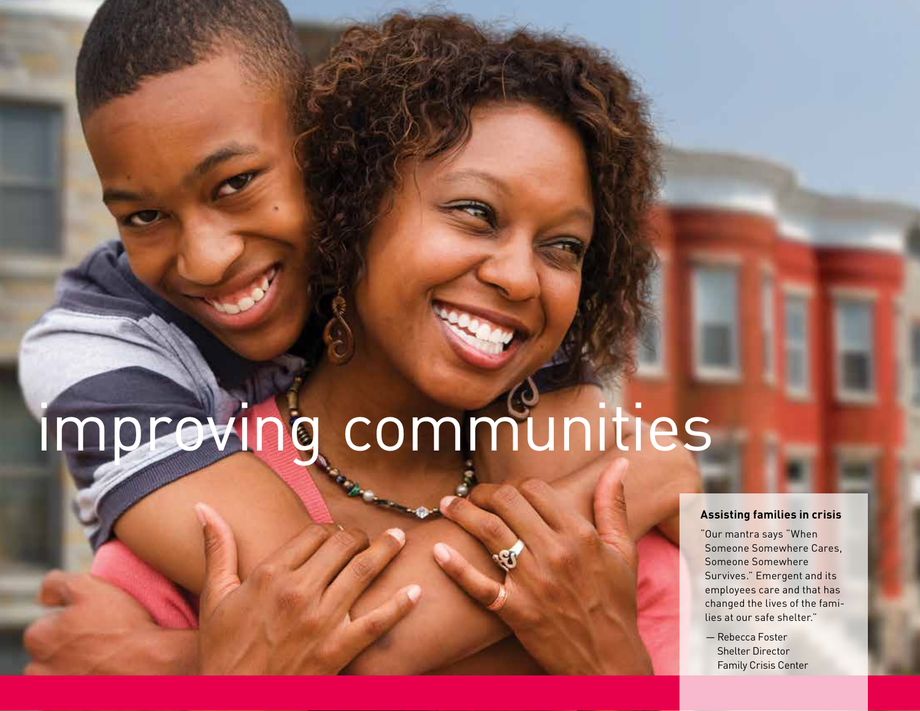# improving communities

#### **Assisting families in crisis**

"Our mantra says "When Someone Somewhere Cares, Someone Somewhere Survives." Emergent and its employees care and that has changed the lives of the families at our safe shelter."

— Rebecca Foster Shelter Director Family Crisis Center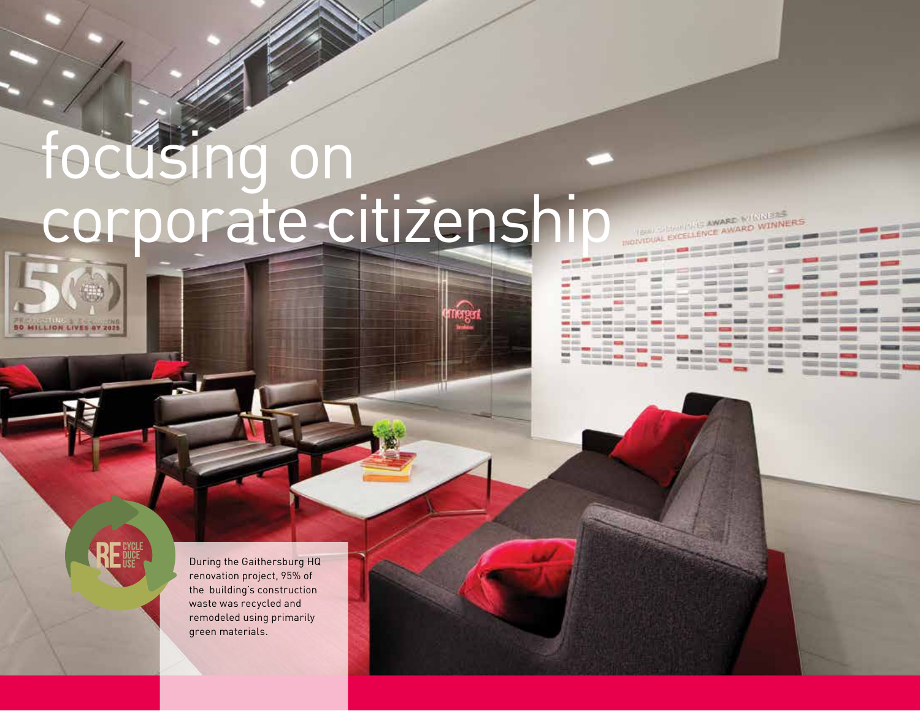# focusing on corporate citizenship

THE STATE THE AWARD WINNE **INDIVIDUAL EXCELLENCE AWARD WINNERS** 

<u> - - - - - - -</u>

**SEERS** 

 $=$ 

**STATE ROOM STATE** 

STATISTIC COMMIT

**Construction Service** 

**COLORADO DE CALENDARES** 

same in

SEER S

and term."

and their party with the project control and the control and the character of the con-

**HOWARD COMPANY** 

 $1000000$ 

pain date and we also have been

**AND NOW CONSTRUCTION COMPANY** <u> Home All Andrew Home All Andrew Home All Andrew Home All Andrew Home All Andrew Home All Andrew Home All Andrew Home All Andrew Home All Andrew Home All Andrew Home All Andrew Home All Andrew Home All Andrew Home All And</u>

san territori dell'Interno

 $m = 100$ 

**DUAL EXCELLENCE AWARD WINNIE COMPANY** 

**STATES SERVER CARDS GROUP** 

**50 MILLION LIVES BY 2025** 

During the Gaithersburg HQ renovation project, 95% of the building's construction waste was recycled and remodeled using primarily green materials.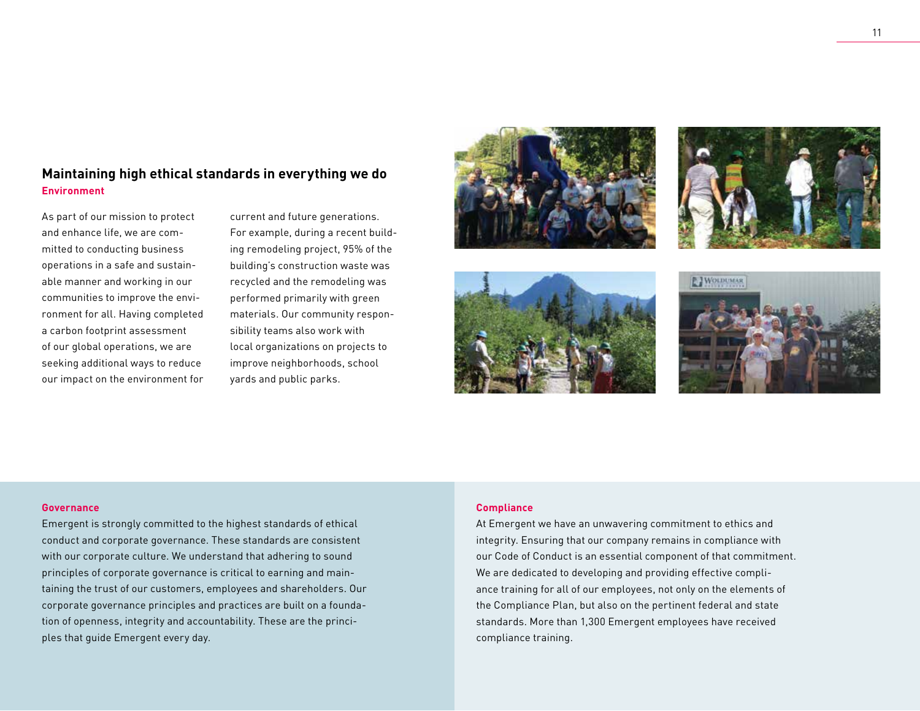#### **Maintaining high ethical standards in everything we do Environment**

As part of our mission to protect and enhance life, we are committed to conducting business operations in a safe and sustainable manner and working in our communities to improve the environment for all. Having completed a carbon footprint assessment of our global operations, we are seeking additional ways to reduce our impact on the environment for

current and future generations. For example, during a recent building remodeling project, 95% of the building's construction waste was recycled and the remodeling was performed primarily with green materials. Our community responsibility teams also work with local organizations on projects to improve neighborhoods, school yards and public parks.









#### **Governance**

Emergent is strongly committed to the highest standards of ethical conduct and corporate governance. These standards are consistent with our corporate culture. We understand that adhering to sound principles of corporate governance is critical to earning and maintaining the trust of our customers, employees and shareholders. Our corporate governance principles and practices are built on a foundation of openness, integrity and accountability. These are the principles that guide Emergent every day.

#### **Compliance**

At Emergent we have an unwavering commitment to ethics and integrity. Ensuring that our company remains in compliance with our Code of Conduct is an essential component of that commitment. We are dedicated to developing and providing effective compliance training for all of our employees, not only on the elements of the Compliance Plan, but also on the pertinent federal and state standards. More than 1,300 Emergent employees have received compliance training.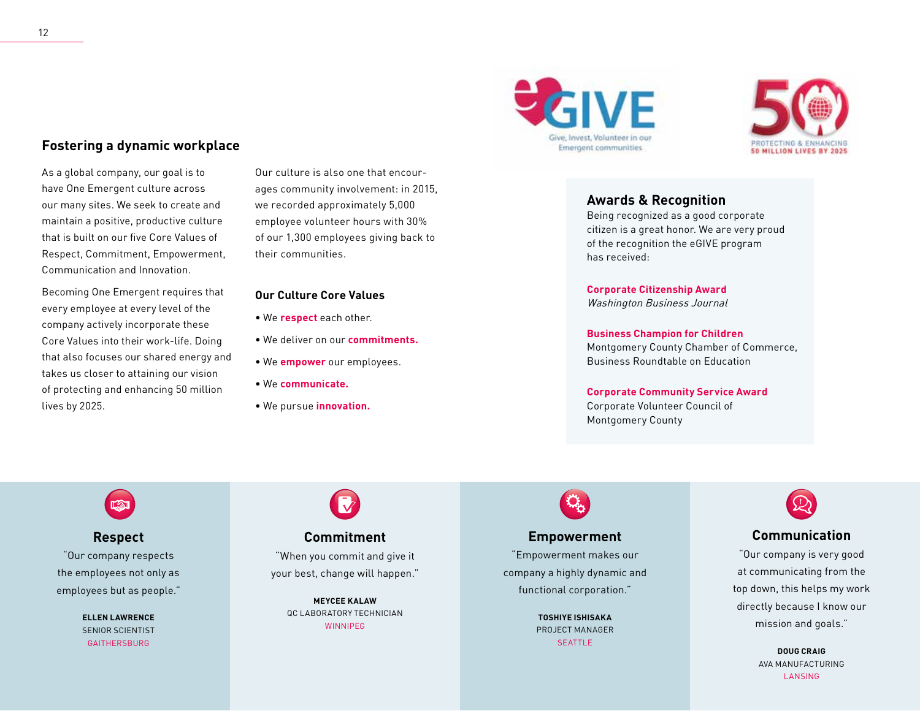#### **Fostering a dynamic workplace**

As a global company, our goal is to have One Emergent culture across our many sites. We seek to create and maintain a positive, productive culture that is built on our five Core Values of Respect, Commitment, Empowerment, Communication and Innovation.

Becoming One Emergent requires that every employee at every level of the company actively incorporate these Core Values into their work-life. Doing that also focuses our shared energy and takes us closer to attaining our vision of protecting and enhancing 50 million lives by 2025.

Our culture is also one that encourages community involvement: in 2015, we recorded approximately 5,000 employee volunteer hours with 30% of our 1,300 employees giving back to their communities.

#### **Our Culture Core Values**

- We **respect** each other.
- We deliver on our **commitments.**
- We **empower** our employees.
- We **communicate.**
- We pursue **innovation.**

## GIVE Give, Invest, Volunteer in our **Emergent communities**



#### **Awards & Recognition**

Being recognized as a good corporate citizen is a great honor. We are very proud of the recognition the eGIVE program has received:

**Corporate Citizenship Award** Washington Business Journal

**Business Champion for Children** Montgomery County Chamber of Commerce, Business Roundtable on Education

#### **Corporate Community Service Award**

Corporate Volunteer Council of Montgomery County

**Respect** "Our company respects the employees not only as employees but as people."

> **ELLEN LAWRENCE** SENIOR SCIENTIST GAITHERSBURG

#### **Commitment**

"When you commit and give it your best, change will happen."

> **MEYCEE KALAW** QC LABORATORY TECHNICIAN **WINNIPEG**

## **Empowerment**

"Empowerment makes our company a highly dynamic and functional corporation."

> **TOSHIYE ISHISAKA** PROJECT MANAGER SEATTLE<sup></sup>



#### **Communication**

"Our company is very good at communicating from the top down, this helps my work directly because I know our mission and goals."

> **DOUG CRAIG** AVA MANUFACTURING LANSING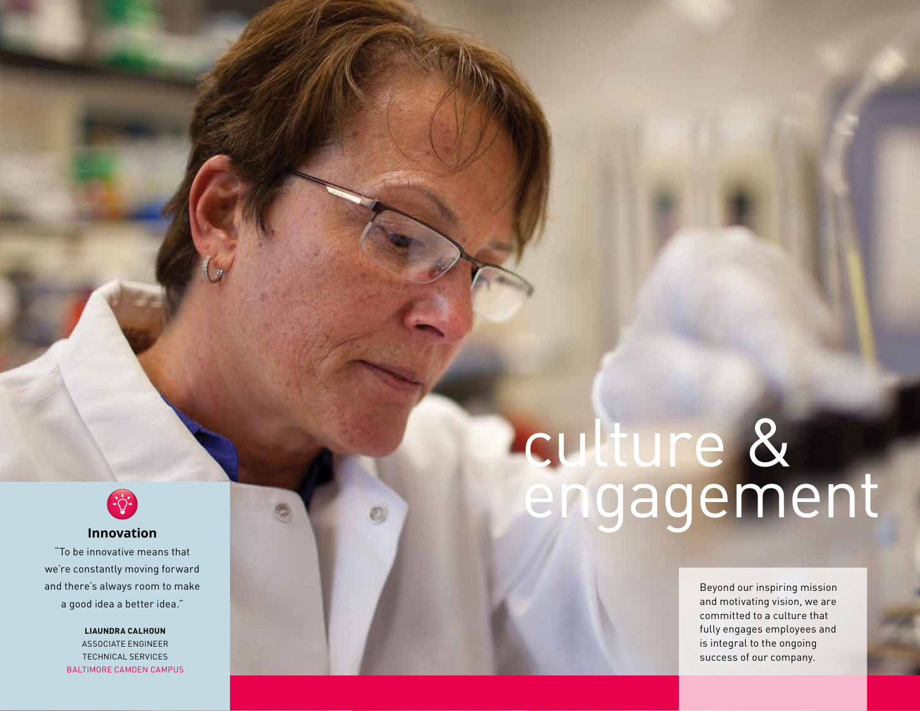

#### **Innovation**

"To be innovative means that we're constantly moving forward and there's always room to make a good idea a better idea."

> **LIAUNDRA CALHOUN** ASSOCIATE ENGINEER TECHNICAL SERVICES BALTIMORE CAMDEN CAMPUS

## culture & engagement

Beyond our inspiring mission and motivating vision, we are committed to a culture that fully engages employees and is integral to the ongoing success of our company.